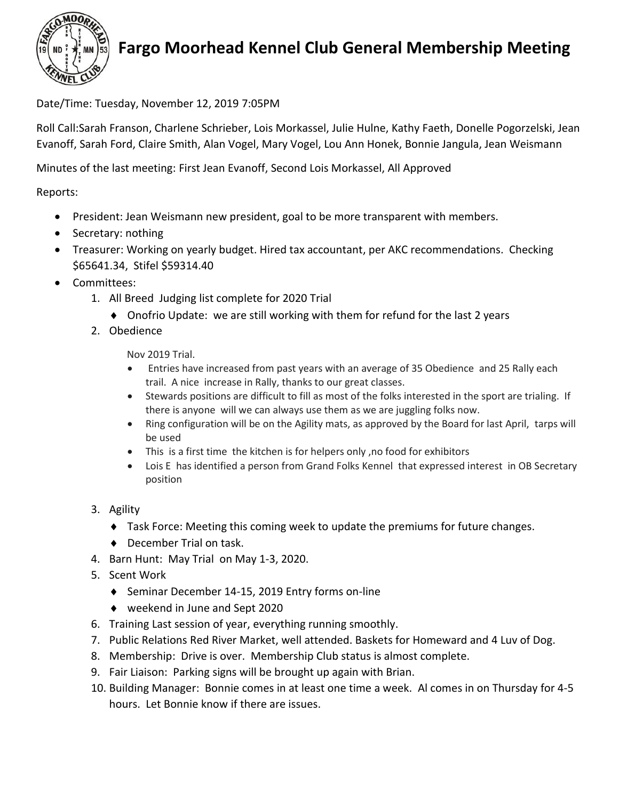

## **Fargo Moorhead Kennel Club General Membership Meeting**

Date/Time: Tuesday, November 12, 2019 7:05PM

Roll Call:Sarah Franson, Charlene Schrieber, Lois Morkassel, Julie Hulne, Kathy Faeth, Donelle Pogorzelski, Jean Evanoff, Sarah Ford, Claire Smith, Alan Vogel, Mary Vogel, Lou Ann Honek, Bonnie Jangula, Jean Weismann

Minutes of the last meeting: First Jean Evanoff, Second Lois Morkassel, All Approved

Reports:

- President: Jean Weismann new president, goal to be more transparent with members.
- Secretary: nothing
- Treasurer: Working on yearly budget. Hired tax accountant, per AKC recommendations. Checking \$65641.34, Stifel \$59314.40
- Committees:
	- 1. All Breed Judging list complete for 2020 Trial
		- Onofrio Update: we are still working with them for refund for the last 2 years
	- 2. Obedience

Nov 2019 Trial.

- Entries have increased from past years with an average of 35 Obedience and 25 Rally each trail. A nice increase in Rally, thanks to our great classes.
- Stewards positions are difficult to fill as most of the folks interested in the sport are trialing. If there is anyone will we can always use them as we are juggling folks now.
- Ring configuration will be on the Agility mats, as approved by the Board for last April, tarps will be used
- This is a first time the kitchen is for helpers only ,no food for exhibitors
- Lois E has identified a person from Grand Folks Kennel that expressed interest in OB Secretary position
- 3. Agility
	- Task Force: Meeting this coming week to update the premiums for future changes.
	- ◆ December Trial on task.
- 4. Barn Hunt: May Trial on May 1-3, 2020.
- 5. Scent Work
	- ◆ Seminar December 14-15, 2019 Entry forms on-line
	- ◆ weekend in June and Sept 2020
- 6. Training Last session of year, everything running smoothly.
- 7. Public Relations Red River Market, well attended. Baskets for Homeward and 4 Luv of Dog.
- 8. Membership: Drive is over. Membership Club status is almost complete.
- 9. Fair Liaison: Parking signs will be brought up again with Brian.
- 10. Building Manager: Bonnie comes in at least one time a week. Al comes in on Thursday for 4-5 hours. Let Bonnie know if there are issues.